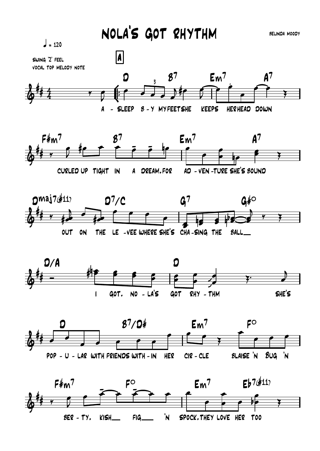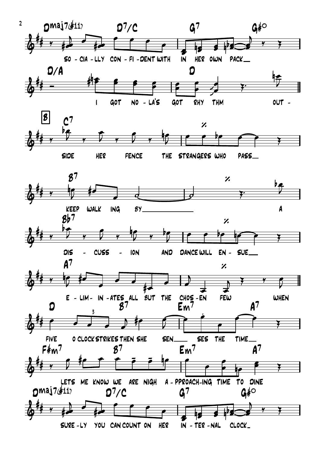

YOU CAN COUNT ON HER SURE-LY  $IN - TER - NAL$ CLOCK\_